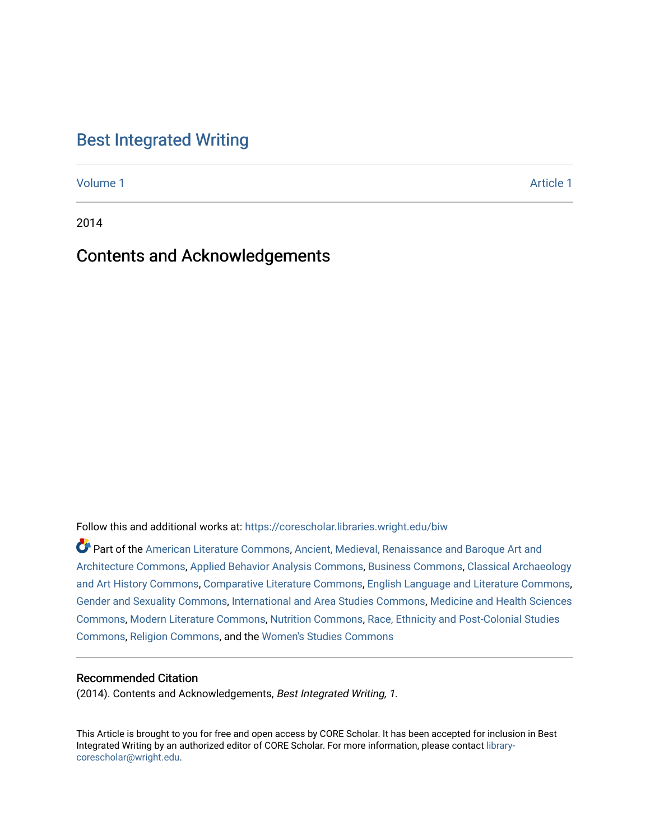## [Best Integrated Writing](https://corescholar.libraries.wright.edu/biw)

[Volume 1](https://corescholar.libraries.wright.edu/biw/vol1) [Article 1](https://corescholar.libraries.wright.edu/biw/vol1/iss1/1) Article 1 Article 1 Article 1 Article 1 Article 1 Article 1 Article 1 Article 1 Article 1 A

2014

# Contents and Acknowledgements

Follow this and additional works at: [https://corescholar.libraries.wright.edu/biw](https://corescholar.libraries.wright.edu/biw?utm_source=corescholar.libraries.wright.edu%2Fbiw%2Fvol1%2Fiss1%2F1&utm_medium=PDF&utm_campaign=PDFCoverPages)

Part of the [American Literature Commons](http://network.bepress.com/hgg/discipline/441?utm_source=corescholar.libraries.wright.edu%2Fbiw%2Fvol1%2Fiss1%2F1&utm_medium=PDF&utm_campaign=PDFCoverPages), [Ancient, Medieval, Renaissance and Baroque Art and](http://network.bepress.com/hgg/discipline/512?utm_source=corescholar.libraries.wright.edu%2Fbiw%2Fvol1%2Fiss1%2F1&utm_medium=PDF&utm_campaign=PDFCoverPages)  [Architecture Commons,](http://network.bepress.com/hgg/discipline/512?utm_source=corescholar.libraries.wright.edu%2Fbiw%2Fvol1%2Fiss1%2F1&utm_medium=PDF&utm_campaign=PDFCoverPages) [Applied Behavior Analysis Commons](http://network.bepress.com/hgg/discipline/1235?utm_source=corescholar.libraries.wright.edu%2Fbiw%2Fvol1%2Fiss1%2F1&utm_medium=PDF&utm_campaign=PDFCoverPages), [Business Commons,](http://network.bepress.com/hgg/discipline/622?utm_source=corescholar.libraries.wright.edu%2Fbiw%2Fvol1%2Fiss1%2F1&utm_medium=PDF&utm_campaign=PDFCoverPages) [Classical Archaeology](http://network.bepress.com/hgg/discipline/450?utm_source=corescholar.libraries.wright.edu%2Fbiw%2Fvol1%2Fiss1%2F1&utm_medium=PDF&utm_campaign=PDFCoverPages) [and Art History Commons](http://network.bepress.com/hgg/discipline/450?utm_source=corescholar.libraries.wright.edu%2Fbiw%2Fvol1%2Fiss1%2F1&utm_medium=PDF&utm_campaign=PDFCoverPages), [Comparative Literature Commons,](http://network.bepress.com/hgg/discipline/454?utm_source=corescholar.libraries.wright.edu%2Fbiw%2Fvol1%2Fiss1%2F1&utm_medium=PDF&utm_campaign=PDFCoverPages) [English Language and Literature Commons](http://network.bepress.com/hgg/discipline/455?utm_source=corescholar.libraries.wright.edu%2Fbiw%2Fvol1%2Fiss1%2F1&utm_medium=PDF&utm_campaign=PDFCoverPages), [Gender and Sexuality Commons](http://network.bepress.com/hgg/discipline/420?utm_source=corescholar.libraries.wright.edu%2Fbiw%2Fvol1%2Fiss1%2F1&utm_medium=PDF&utm_campaign=PDFCoverPages), [International and Area Studies Commons,](http://network.bepress.com/hgg/discipline/360?utm_source=corescholar.libraries.wright.edu%2Fbiw%2Fvol1%2Fiss1%2F1&utm_medium=PDF&utm_campaign=PDFCoverPages) [Medicine and Health Sciences](http://network.bepress.com/hgg/discipline/648?utm_source=corescholar.libraries.wright.edu%2Fbiw%2Fvol1%2Fiss1%2F1&utm_medium=PDF&utm_campaign=PDFCoverPages)  [Commons](http://network.bepress.com/hgg/discipline/648?utm_source=corescholar.libraries.wright.edu%2Fbiw%2Fvol1%2Fiss1%2F1&utm_medium=PDF&utm_campaign=PDFCoverPages), [Modern Literature Commons](http://network.bepress.com/hgg/discipline/1050?utm_source=corescholar.libraries.wright.edu%2Fbiw%2Fvol1%2Fiss1%2F1&utm_medium=PDF&utm_campaign=PDFCoverPages), [Nutrition Commons,](http://network.bepress.com/hgg/discipline/95?utm_source=corescholar.libraries.wright.edu%2Fbiw%2Fvol1%2Fiss1%2F1&utm_medium=PDF&utm_campaign=PDFCoverPages) [Race, Ethnicity and Post-Colonial Studies](http://network.bepress.com/hgg/discipline/566?utm_source=corescholar.libraries.wright.edu%2Fbiw%2Fvol1%2Fiss1%2F1&utm_medium=PDF&utm_campaign=PDFCoverPages)  [Commons](http://network.bepress.com/hgg/discipline/566?utm_source=corescholar.libraries.wright.edu%2Fbiw%2Fvol1%2Fiss1%2F1&utm_medium=PDF&utm_campaign=PDFCoverPages), [Religion Commons,](http://network.bepress.com/hgg/discipline/538?utm_source=corescholar.libraries.wright.edu%2Fbiw%2Fvol1%2Fiss1%2F1&utm_medium=PDF&utm_campaign=PDFCoverPages) and the [Women's Studies Commons](http://network.bepress.com/hgg/discipline/561?utm_source=corescholar.libraries.wright.edu%2Fbiw%2Fvol1%2Fiss1%2F1&utm_medium=PDF&utm_campaign=PDFCoverPages) 

## Recommended Citation

(2014). Contents and Acknowledgements, Best Integrated Writing, 1.

This Article is brought to you for free and open access by CORE Scholar. It has been accepted for inclusion in Best Integrated Writing by an authorized editor of CORE Scholar. For more information, please contact [library](mailto:library-corescholar@wright.edu)[corescholar@wright.edu](mailto:library-corescholar@wright.edu).